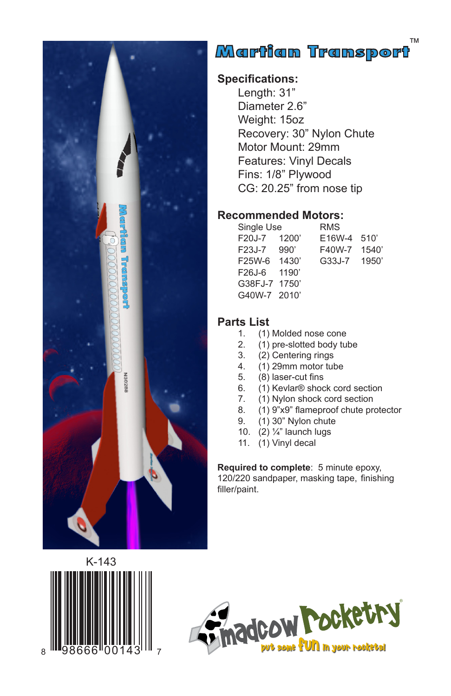

# .<br>™artian Transport∆

#### **Specifications:**

Length: 31" Diameter 2.6" Weight: 15oz Recovery: 30" Nylon Chute Motor Mount: 29mm Features: Vinyl Decals Fins: 1/8" Plywood CG: 20.25" from nose tip

#### **Recommended Motors:**

| Single Use    | <b>RMS</b> |       |
|---------------|------------|-------|
| 1200'         | E16W-4     | 510'  |
| 990'          | F40W-7     | 1540  |
| 1430'         | G33J-7     | 1950' |
| 1190'         |            |       |
| G38FJ-7 1750' |            |       |
| G40W-7 2010'  |            |       |
|               |            |       |

## Parts List<br>(1)

- 1. (1) Molded nose cone
- 2. (1) pre-slotted body tube<br>3. (2) Centering rings
- 3. (2) Centering rings<br>4. (1) 29mm motor tul
- $(1)$  29mm motor tube
- 5. (8) laser-cut fins
- 6. (1) Kevlar® shock cord section
- 7. (1) Nylon shock cord section<br>8. (1) 9"x9" flameproof chute pro
- 8. (1) 9"x9" flameproof chute protector<br>9. (1) 30" Nylon chute
- (1) 30" Nylon chute
- 10. (2) ¼" launch lugs
- 11. (1) Vinyl decal

**Required to complete**: 5 minute epoxy, 120/220 sandpaper, masking tape, finishing filler/paint.



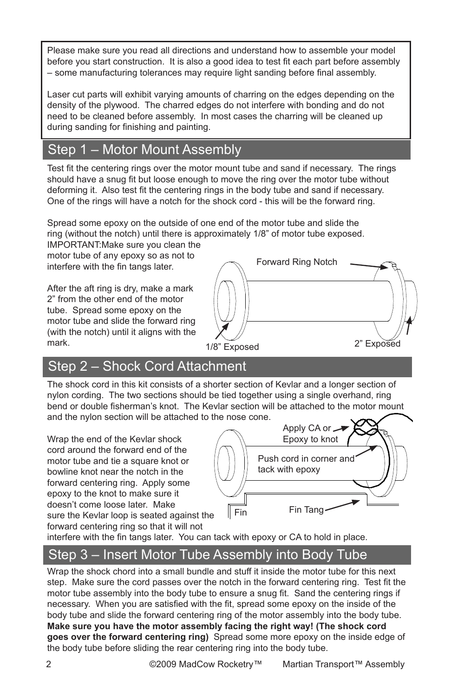Please make sure you read all directions and understand how to assemble your model before you start construction. It is also a good idea to test fit each part before assembly – some manufacturing tolerances may require light sanding before final assembly.

Laser cut parts will exhibit varying amounts of charring on the edges depending on the density of the plywood. The charred edges do not interfere with bonding and do not need to be cleaned before assembly. In most cases the charring will be cleaned up during sanding for finishing and painting.

### Step 1 – Motor Mount Assembly

Test fit the centering rings over the motor mount tube and sand if necessary. The rings should have a snug fit but loose enough to move the ring over the motor tube without deforming it. Also test fit the centering rings in the body tube and sand if necessary. One of the rings will have a notch for the shock cord - this will be the forward ring.

Spread some epoxy on the outside of one end of the motor tube and slide the ring (without the notch) until there is approximately 1/8" of motor tube exposed.

IMPORTANT:Make sure you clean the motor tube of any epoxy so as not to interfere with the fin tangs later.

After the aft ring is dry, make a mark 2" from the other end of the motor tube. Spread some epoxy on the motor tube and slide the forward ring (with the notch) until it aligns with the mark.



### Step 2 – Shock Cord Attachment

The shock cord in this kit consists of a shorter section of Kevlar and a longer section of nylon cording. The two sections should be tied together using a single overhand, ring bend or double fisherman's knot. The Kevlar section will be attached to the motor mount and the nylon section will be attached to the nose cone.

Wrap the end of the Kevlar shock cord around the forward end of the motor tube and tie a square knot or bowline knot near the notch in the forward centering ring. Apply some epoxy to the knot to make sure it doesn't come loose later. Make sure the Kevlar loop is seated against the forward centering ring so that it will not



interfere with the fin tangs later. You can tack with epoxy or CA to hold in place.

### Step 3 – Insert Motor Tube Assembly into Body Tube

Wrap the shock chord into a small bundle and stuff it inside the motor tube for this next step. Make sure the cord passes over the notch in the forward centering ring. Test fit the motor tube assembly into the body tube to ensure a snug fit. Sand the centering rings if necessary. When you are satisfied with the fit, spread some epoxy on the inside of the body tube and slide the forward centering ring of the motor assembly into the body tube. **Make sure you have the motor assembly facing the right way! (The shock cord goes over the forward centering ring)** Spread some more epoxy on the inside edge of the body tube before sliding the rear centering ring into the body tube.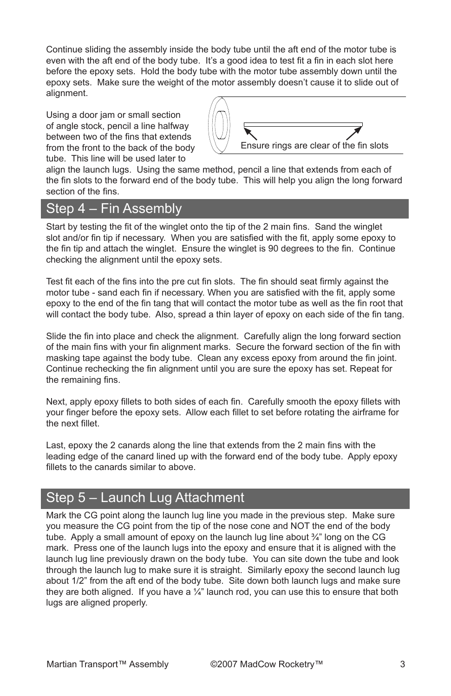Continue sliding the assembly inside the body tube until the aft end of the motor tube is even with the aft end of the body tube. It's a good idea to test fit a fin in each slot here before the epoxy sets. Hold the body tube with the motor tube assembly down until the epoxy sets. Make sure the weight of the motor assembly doesn't cause it to slide out of alignment.

Using a door jam or small section of angle stock, pencil a line halfway between two of the fins that extends from the front to the back of the body tube. This line will be used later to



align the launch lugs. Using the same method, pencil a line that extends from each of the fin slots to the forward end of the body tube. This will help you align the long forward section of the fins.

#### Step 4 – Fin Assembly

Start by testing the fit of the winglet onto the tip of the 2 main fins. Sand the winglet slot and/or fin tip if necessary. When you are satisfied with the fit, apply some epoxy to the fin tip and attach the winglet. Ensure the winglet is 90 degrees to the fin. Continue checking the alignment until the epoxy sets.

Test fit each of the fins into the pre cut fin slots. The fin should seat firmly against the motor tube - sand each fin if necessary. When you are satisfied with the fit, apply some epoxy to the end of the fin tang that will contact the motor tube as well as the fin root that will contact the body tube. Also, spread a thin layer of epoxy on each side of the fin tang.

Slide the fin into place and check the alignment. Carefully align the long forward section of the main fins with your fin alignment marks. Secure the forward section of the fin with masking tape against the body tube. Clean any excess epoxy from around the fin joint. Continue rechecking the fin alignment until you are sure the epoxy has set. Repeat for the remaining fins.

Next, apply epoxy fillets to both sides of each fin. Carefully smooth the epoxy fillets with your finger before the epoxy sets. Allow each fillet to set before rotating the airframe for the next fillet.

Last, epoxy the 2 canards along the line that extends from the 2 main fins with the leading edge of the canard lined up with the forward end of the body tube. Apply epoxy fillets to the canards similar to above.

#### Step 5 – Launch Lug Attachment

Mark the CG point along the launch lug line you made in the previous step. Make sure you measure the CG point from the tip of the nose cone and NOT the end of the body tube. Apply a small amount of epoxy on the launch lug line about  $\frac{3}{4}$ " long on the CG mark. Press one of the launch lugs into the epoxy and ensure that it is aligned with the launch lug line previously drawn on the body tube. You can site down the tube and look through the launch lug to make sure it is straight. Similarly epoxy the second launch lug about 1/2" from the aft end of the body tube. Site down both launch lugs and make sure they are both aligned. If you have a  $\frac{1}{4}$ " launch rod, you can use this to ensure that both lugs are aligned properly.